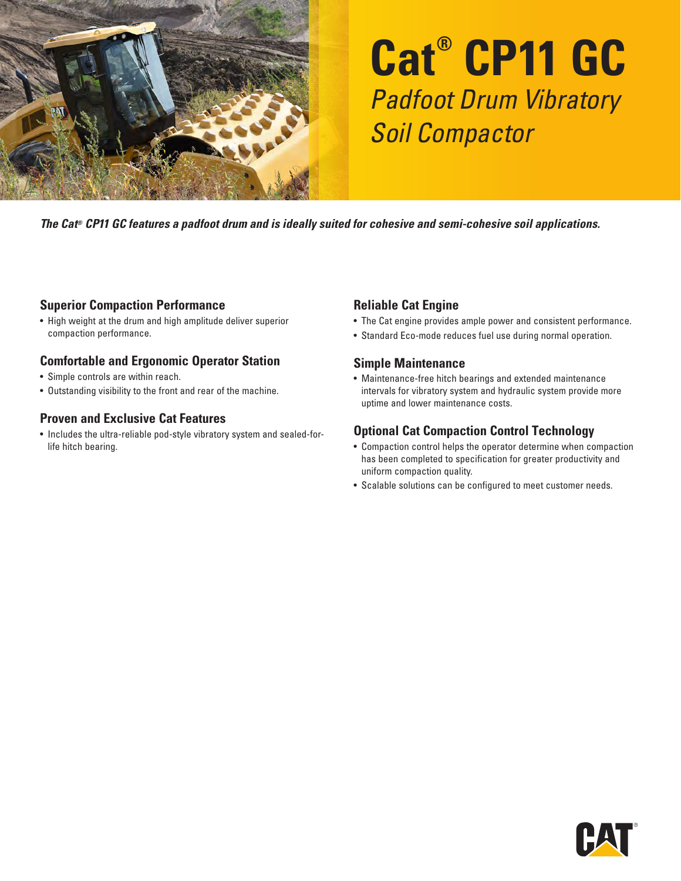

# **Cat® CP11 GC** Padfoot Drum Vibratory Soil Compactor

*The Cat® CP11 GC features a padfoot drum and is ideally suited for cohesive and semi-cohesive soil applications.*

#### **Superior Compaction Performance**

• High weight at the drum and high amplitude deliver superior compaction performance.

### **Comfortable and Ergonomic Operator Station**

- Simple controls are within reach.
- Outstanding visibility to the front and rear of the machine.

#### **Proven and Exclusive Cat Features**

• Includes the ultra-reliable pod-style vibratory system and sealed-forlife hitch bearing.

## **Reliable Cat Engine**

- The Cat engine provides ample power and consistent performance.
- Standard Eco-mode reduces fuel use during normal operation.

#### **Simple Maintenance**

• Maintenance-free hitch bearings and extended maintenance intervals for vibratory system and hydraulic system provide more uptime and lower maintenance costs.

### **Optional Cat Compaction Control Technology**

- Compaction control helps the operator determine when compaction has been completed to specification for greater productivity and uniform compaction quality.
- Scalable solutions can be configured to meet customer needs.

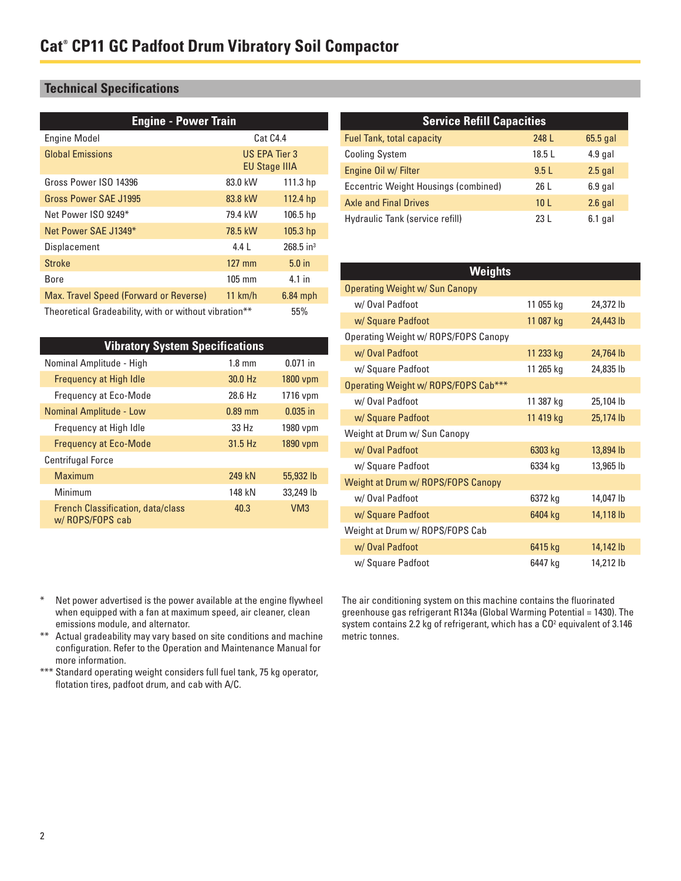# **Technical Specifications**

| <b>Engine - Power Train</b>                                  |                                       |                         |
|--------------------------------------------------------------|---------------------------------------|-------------------------|
| <b>Engine Model</b>                                          | Cat C4.4                              |                         |
| <b>Global Emissions</b>                                      | US EPA Tier 3<br><b>EU Stage IIIA</b> |                         |
| Gross Power ISO 14396                                        | 83.0 kW                               | 111.3 <sub>hp</sub>     |
| Gross Power SAE J1995                                        | 83.8 kW                               | 112.4 hp                |
| Net Power ISO 9249*                                          | 79.4 kW                               | 106.5 <sub>hp</sub>     |
| Net Power SAE J1349*                                         | 78.5 kW                               | 105.3 <sub>hp</sub>     |
| Displacement                                                 | 4.4 L                                 | $268.5$ in <sup>3</sup> |
| <b>Stroke</b>                                                | $127$ mm                              | 5.0 <sub>in</sub>       |
| Bore                                                         | $105 \text{ mm}$                      | 4.1 in                  |
| Max. Travel Speed (Forward or Reverse)                       | 11 km/h                               | $6.84$ mph              |
| 55%<br>Theoretical Gradeability, with or without vibration** |                                       |                         |

| <b>Vibratory System Specifications</b>                      |                  |            |
|-------------------------------------------------------------|------------------|------------|
| Nominal Amplitude - High                                    | $1.8 \text{ mm}$ | $0.071$ in |
| <b>Frequency at High Idle</b>                               | 30.0 Hz          | 1800 vpm   |
| <b>Frequency at Eco-Mode</b>                                | 28.6 Hz          | 1716 vpm   |
| Nominal Amplitude - Low                                     | $0.89$ mm        | $0.035$ in |
| Frequency at High Idle                                      | 33H <sub>z</sub> | 1980 vpm   |
| <b>Frequency at Eco-Mode</b>                                | 31.5 Hz          | 1890 vpm   |
| <b>Centrifugal Force</b>                                    |                  |            |
| Maximum                                                     | 249 kN           | 55,932 lb  |
| Minimum                                                     | 148 kN           | 33,249 lb  |
| <b>French Classification, data/class</b><br>w/ROPS/FOPS cab | 40.3             | VM3        |

## **Service Refill Capacities** Fuel Tank, total capacity **248 L** 65.5 gal Cooling System 18.5 L 4.9 gal Engine Oil w/ Filter **9.5 L** 2.5 gal Eccentric Weight Housings (combined) 26 L 6.9 gal Axle and Final Drives 10 L 2.6 gal Hydraulic Tank (service refill) 23 L 6.1 gal

| Weights                              |           |           |
|--------------------------------------|-----------|-----------|
| Operating Weight w/ Sun Canopy       |           |           |
| w/ Oval Padfoot                      | 11 055 kg | 24,372 lb |
| w/ Square Padfoot                    | 11 087 kg | 24,443 lb |
| Operating Weight w/ ROPS/FOPS Canopy |           |           |
| w/ Oval Padfoot                      | 11 233 kg | 24,764 lb |
| w/ Square Padfoot                    | 11 265 kg | 24,835 lb |
| Operating Weight w/ ROPS/FOPS Cab*** |           |           |
| w/ Oval Padfoot                      | 11 387 kg | 25,104 lb |
| w/ Square Padfoot                    | 11 419 kg | 25,174 lb |
| Weight at Drum w/ Sun Canopy         |           |           |
| w/ Oval Padfoot                      | 6303 kg   | 13,894 lb |
| w/ Square Padfoot                    | 6334 kg   | 13,965 lb |
| Weight at Drum w/ ROPS/FOPS Canopy   |           |           |
| w/ Oval Padfoot                      | 6372 kg   | 14,047 lb |
| w/ Square Padfoot                    | 6404 kg   | 14,118 lb |
| Weight at Drum w/ ROPS/FOPS Cab      |           |           |
| w/ Oval Padfoot                      | 6415 kg   | 14,142 lb |
| w/ Square Padfoot                    | 6447 kg   | 14,212 lb |

- \* Net power advertised is the power available at the engine flywheel when equipped with a fan at maximum speed, air cleaner, clean emissions module, and alternator.
- \*\* Actual gradeability may vary based on site conditions and machine configuration. Refer to the Operation and Maintenance Manual for more information.
- \*\*\* Standard operating weight considers full fuel tank, 75 kg operator, flotation tires, padfoot drum, and cab with A/C.

The air conditioning system on this machine contains the fluorinated greenhouse gas refrigerant R134a (Global Warming Potential = 1430). The system contains 2.2 kg of refrigerant, which has a CO<sup>2</sup> equivalent of 3.146 metric tonnes.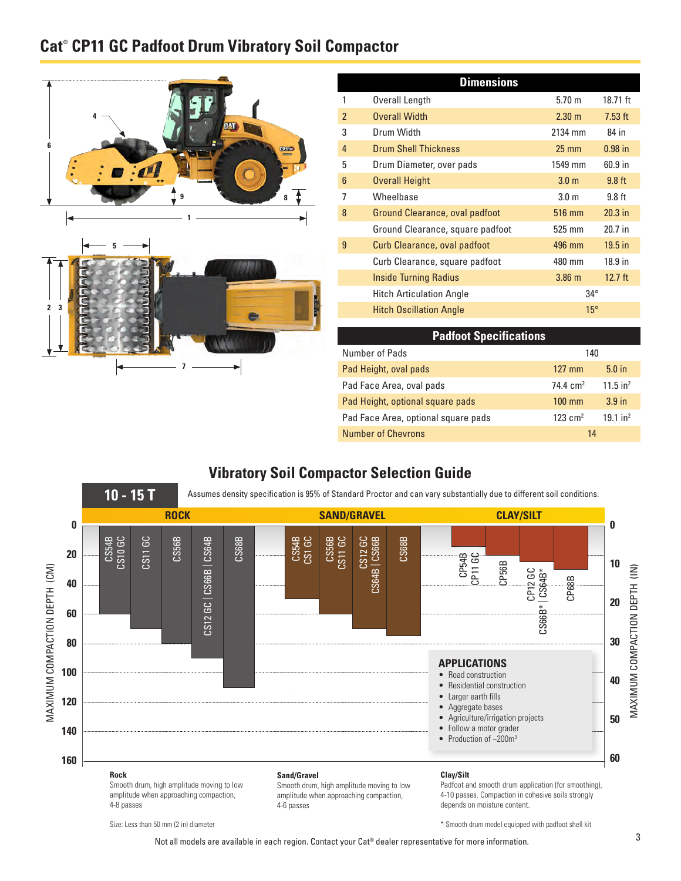# **Cat® CP11 GC Padfoot Drum Vibratory Soil Compactor**



**7**

| <b>Dimensions</b> |                                  |                  |           |
|-------------------|----------------------------------|------------------|-----------|
|                   | Overall Length                   | $5.70 \; m$      | 18.71 ft  |
| $\mathfrak{p}$    | <b>Overall Width</b>             | $2.30 \text{ m}$ | $7.53$ ft |
| 3                 | Drum Width                       | 2134 mm          | 84 in     |
| $\overline{4}$    | <b>Drum Shell Thickness</b>      | $25 \text{ mm}$  | $0.98$ in |
| 5                 | Drum Diameter, over pads         | 1549 mm          | 60.9 in   |
| 6                 | <b>Overall Height</b>            | 3.0 <sub>m</sub> | $9.8$ ft  |
| 7                 | Wheelbase                        | 3.0 <sub>m</sub> | $9.8$ ft  |
| 8                 | Ground Clearance, oval padfoot   | 516 mm           | $20.3$ in |
|                   | Ground Clearance, square padfoot | 525 mm           | $20.7$ in |
| 9                 | Curb Clearance, oval padfoot     | 496 mm           | $19.5$ in |
|                   | Curb Clearance, square padfoot   | 480 mm           | 18.9 in   |
|                   | <b>Inside Turning Radius</b>     | $3.86$ m         | $12.7$ ft |
|                   | <b>Hitch Articulation Angle</b>  | $34^{\circ}$     |           |
|                   | <b>Hitch Oscillation Angle</b>   | $15^{\circ}$     |           |

| <b>Padfoot Specifications</b>       |                       |                        |
|-------------------------------------|-----------------------|------------------------|
| Number of Pads                      | 140                   |                        |
| Pad Height, oval pads               | $127 \text{ mm}$      | 5.0 <sub>in</sub>      |
| Pad Face Area, oval pads            | 74.4 $cm2$            | $11.5$ in <sup>2</sup> |
| Pad Height, optional square pads    | $100 \text{ mm}$      | 3.9 <sub>in</sub>      |
| Pad Face Area, optional square pads | $123$ cm <sup>2</sup> | $19.1$ in <sup>2</sup> |
| <b>Number of Chevrons</b>           | 14                    |                        |

\* Smooth drum model equipped with padfoot shell kit

# **Vibratory Soil Compactor Selection Guide**



Size: Less than 50 mm (2 in) diameter

Not all models are available in each region. Contact your Cat® dealer representative for more information.